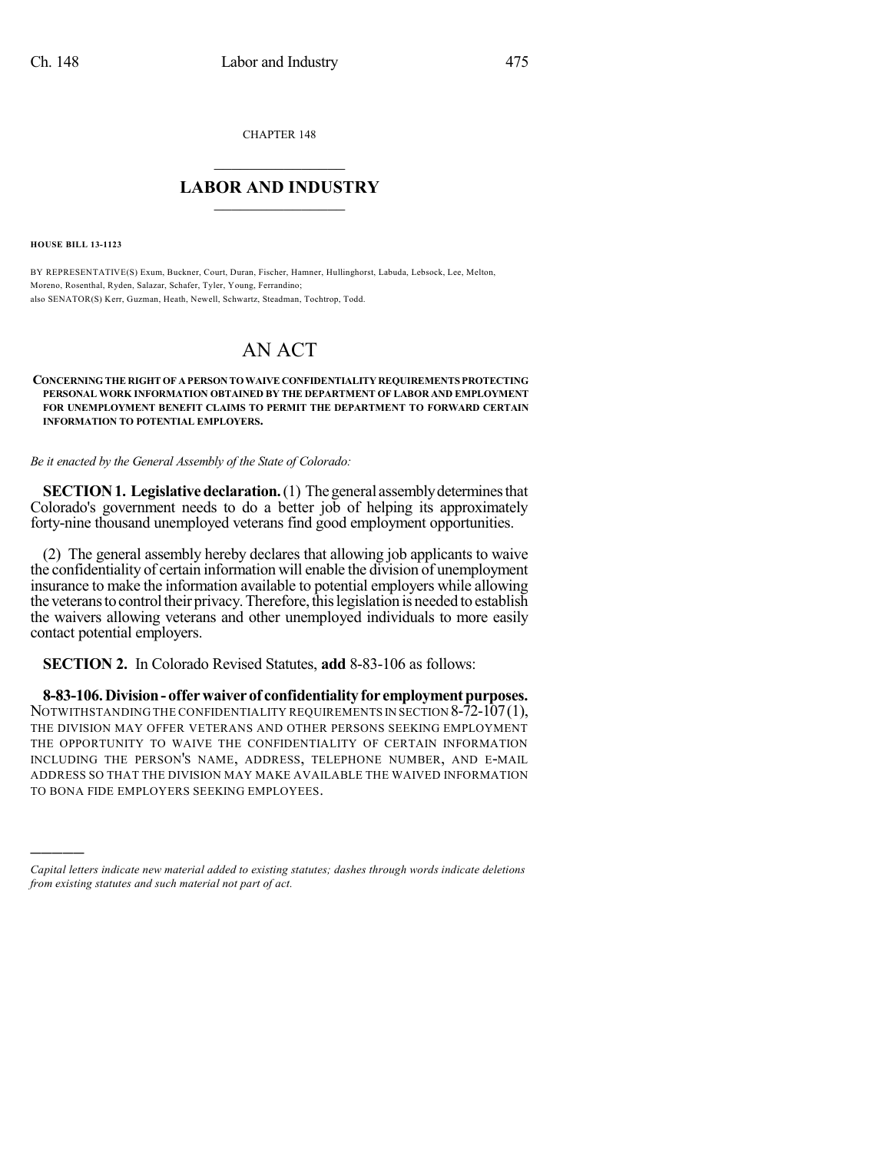CHAPTER 148

## $\mathcal{L}_\text{max}$  . The set of the set of the set of the set of the set of the set of the set of the set of the set of the set of the set of the set of the set of the set of the set of the set of the set of the set of the set **LABOR AND INDUSTRY**  $\frac{1}{\sqrt{2}}$  ,  $\frac{1}{\sqrt{2}}$  ,  $\frac{1}{\sqrt{2}}$  ,  $\frac{1}{\sqrt{2}}$  ,  $\frac{1}{\sqrt{2}}$  ,  $\frac{1}{\sqrt{2}}$

**HOUSE BILL 13-1123**

)))))

BY REPRESENTATIVE(S) Exum, Buckner, Court, Duran, Fischer, Hamner, Hullinghorst, Labuda, Lebsock, Lee, Melton, Moreno, Rosenthal, Ryden, Salazar, Schafer, Tyler, Young, Ferrandino; also SENATOR(S) Kerr, Guzman, Heath, Newell, Schwartz, Steadman, Tochtrop, Todd.

## AN ACT

## **CONCERNING THE RIGHT OF A PERSON TOWAIVE CONFIDENTIALITY REQUIREMENTS PROTECTING PERSONAL WORK INFORMATION OBTAINED BY THE DEPARTMENT OF LABOR AND EMPLOYMENT FOR UNEMPLOYMENT BENEFIT CLAIMS TO PERMIT THE DEPARTMENT TO FORWARD CERTAIN INFORMATION TO POTENTIAL EMPLOYERS.**

*Be it enacted by the General Assembly of the State of Colorado:*

**SECTION 1. Legislative declaration.** (1) The general assembly determines that Colorado's government needs to do a better job of helping its approximately forty-nine thousand unemployed veterans find good employment opportunities.

(2) The general assembly hereby declares that allowing job applicants to waive the confidentiality of certain information will enable the division of unemployment insurance to make the information available to potential employers while allowing the veterans to control their privacy. Therefore, this legislation is needed to establish the waivers allowing veterans and other unemployed individuals to more easily contact potential employers.

**SECTION 2.** In Colorado Revised Statutes, **add** 8-83-106 as follows:

**8-83-106.Division- offerwaiverof confidentialityfor employmentpurposes.** NOTWITHSTANDING THE CONFIDENTIALITY REQUIREMENTS IN SECTION 8-72-107(1), THE DIVISION MAY OFFER VETERANS AND OTHER PERSONS SEEKING EMPLOYMENT THE OPPORTUNITY TO WAIVE THE CONFIDENTIALITY OF CERTAIN INFORMATION INCLUDING THE PERSON'S NAME, ADDRESS, TELEPHONE NUMBER, AND E-MAIL ADDRESS SO THAT THE DIVISION MAY MAKE AVAILABLE THE WAIVED INFORMATION TO BONA FIDE EMPLOYERS SEEKING EMPLOYEES.

*Capital letters indicate new material added to existing statutes; dashes through words indicate deletions from existing statutes and such material not part of act.*